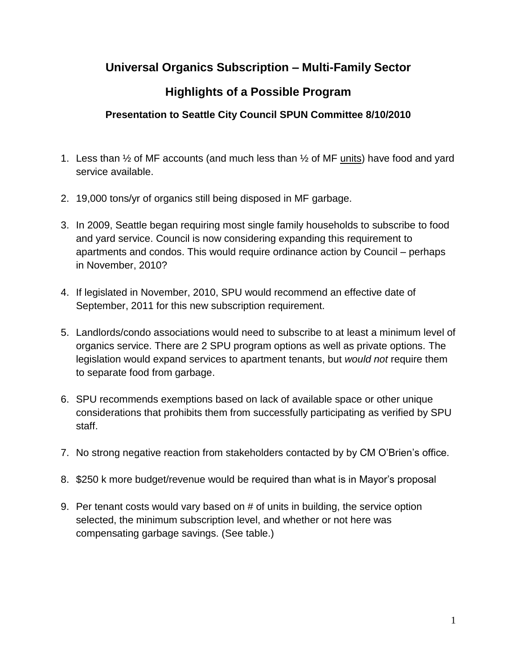### **Universal Organics Subscription – Multi-Family Sector**

# **Highlights of a Possible Program**

#### **Presentation to Seattle City Council SPUN Committee 8/10/2010**

- 1. Less than ½ of MF accounts (and much less than ½ of MF units) have food and yard service available.
- 2. 19,000 tons/yr of organics still being disposed in MF garbage.
- 3. In 2009, Seattle began requiring most single family households to subscribe to food and yard service. Council is now considering expanding this requirement to apartments and condos. This would require ordinance action by Council – perhaps in November, 2010?
- 4. If legislated in November, 2010, SPU would recommend an effective date of September, 2011 for this new subscription requirement.
- 5. Landlords/condo associations would need to subscribe to at least a minimum level of organics service. There are 2 SPU program options as well as private options. The legislation would expand services to apartment tenants, but *would not* require them to separate food from garbage.
- 6. SPU recommends exemptions based on lack of available space or other unique considerations that prohibits them from successfully participating as verified by SPU staff.
- 7. No strong negative reaction from stakeholders contacted by by CM O'Brien's office.
- 8. \$250 k more budget/revenue would be required than what is in Mayor's proposal
- 9. Per tenant costs would vary based on # of units in building, the service option selected, the minimum subscription level, and whether or not here was compensating garbage savings. (See table.)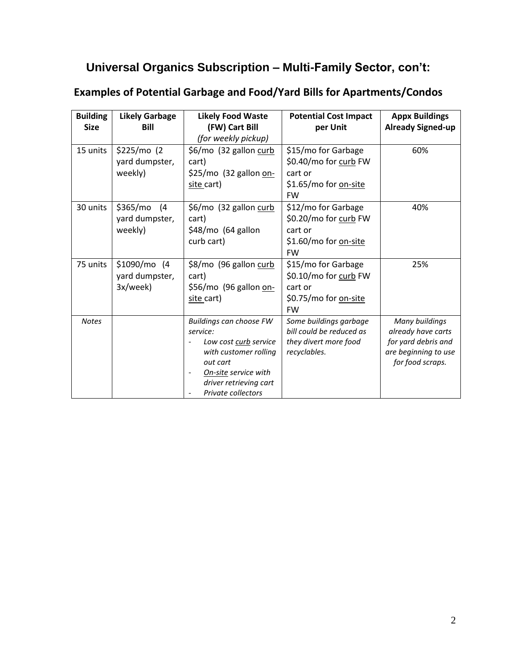# **Universal Organics Subscription – Multi-Family Sector, con't:**

| <b>Building</b><br><b>Size</b> | <b>Likely Garbage</b><br><b>Bill</b>         | <b>Likely Food Waste</b><br>(FW) Cart Bill<br>(for weekly pickup)                                                                                                         | <b>Potential Cost Impact</b><br>per Unit                                                             | <b>Appx Buildings</b><br><b>Already Signed-up</b>                                                       |
|--------------------------------|----------------------------------------------|---------------------------------------------------------------------------------------------------------------------------------------------------------------------------|------------------------------------------------------------------------------------------------------|---------------------------------------------------------------------------------------------------------|
| 15 units                       | \$225/mol (2)<br>yard dumpster,<br>weekly)   | \$6/mo (32 gallon curb<br>cart)<br>\$25/mo (32 gallon on-<br>site cart)                                                                                                   | \$15/mo for Garbage<br>\$0.40/mo for curb FW<br>cart or<br>\$1.65/mo for on-site<br><b>FW</b>        | 60%                                                                                                     |
| 30 units                       | \$365/mo<br>(4)<br>yard dumpster,<br>weekly) | \$6/mo (32 gallon curb<br>cart)<br>\$48/mo (64 gallon<br>curb cart)                                                                                                       | \$12/mo for Garbage<br>\$0.20/mo for curb FW<br>cart or<br>\$1.60/mo for <u>on-site</u><br><b>FW</b> | 40%                                                                                                     |
| 75 units                       | $$1090/mol$ (4<br>yard dumpster,<br>3x/week) | \$8/mo (96 gallon curb<br>cart)<br>\$56/mo (96 gallon on-<br>site cart)                                                                                                   | \$15/mo for Garbage<br>\$0.10/mo for curb FW<br>cart or<br>\$0.75/mo for on-site<br><b>FW</b>        | 25%                                                                                                     |
| <b>Notes</b>                   |                                              | Buildings can choose FW<br>service:<br>Low cost curb service<br>with customer rolling<br>out cart<br>On-site service with<br>driver retrieving cart<br>Private collectors | Some buildings garbage<br>bill could be reduced as<br>they divert more food<br>recyclables.          | Many buildings<br>already have carts<br>for yard debris and<br>are beginning to use<br>for food scraps. |

### **Examples of Potential Garbage and Food/Yard Bills for Apartments/Condos**